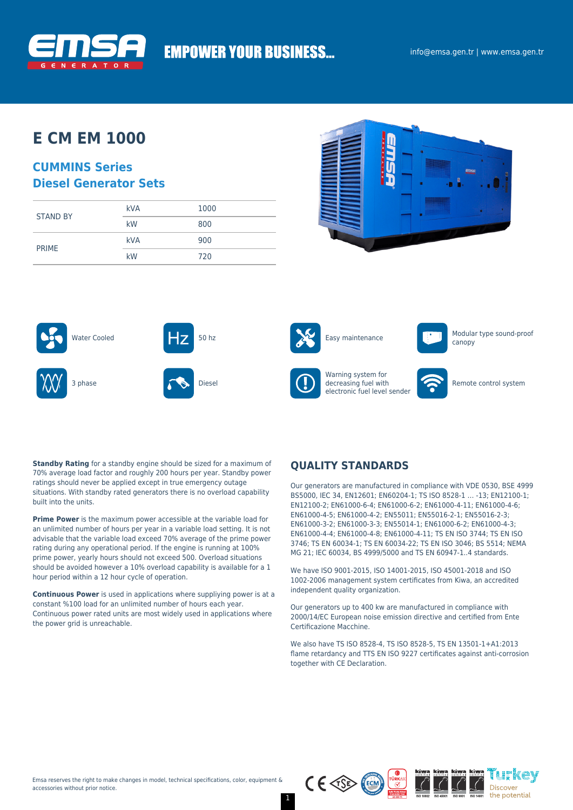

# **EMPOWER YOUR BUSINESS...**

## **E CM EM 1000**

### **CUMMINS Series Diesel Generator Sets**

| <b>STAND BY</b> | <b>kVA</b> | 1000 |
|-----------------|------------|------|
|                 | kW         | 800  |
| <b>PRIME</b>    | <b>kVA</b> | 900  |
|                 | kW         | 720  |









Warning system for decreasing fuel with

electronic fuel level sender



canopy



Remote control system

**Standby Rating** for a standby engine should be sized for a maximum of 70% average load factor and roughly 200 hours per year. Standby power ratings should never be applied except in true emergency outage situations. With standby rated generators there is no overload capability built into the units.

**Prime Power** is the maximum power accessible at the variable load for an unlimited number of hours per year in a variable load setting. It is not advisable that the variable load exceed 70% average of the prime power rating during any operational period. If the engine is running at 100% prime power, yearly hours should not exceed 500. Overload situations should be avoided however a 10% overload capability is available for a 1 hour period within a 12 hour cycle of operation.

**Continuous Power** is used in applications where suppliying power is at a constant %100 load for an unlimited number of hours each year. Continuous power rated units are most widely used in applications where the power grid is unreachable.

### **QUALITY STANDARDS**

Our generators are manufactured in compliance with VDE 0530, BSE 4999 BS5000, IEC 34, EN12601; EN60204-1; TS ISO 8528-1 … -13; EN12100-1; EN12100-2; EN61000-6-4; EN61000-6-2; EN61000-4-11; EN61000-4-6; EN61000-4-5; EN61000-4-2; EN55011; EN55016-2-1; EN55016-2-3; EN61000-3-2; EN61000-3-3; EN55014-1; EN61000-6-2; EN61000-4-3; EN61000-4-4; EN61000-4-8; EN61000-4-11; TS EN ISO 3744; TS EN ISO 3746; TS EN 60034-1; TS EN 60034-22; TS EN ISO 3046; BS 5514; NEMA MG 21; IEC 60034, BS 4999/5000 and TS EN 60947-1..4 standards.

We have ISO 9001-2015, ISO 14001-2015, ISO 45001-2018 and ISO 1002-2006 management system certificates from Kiwa, an accredited independent quality organization.

Our generators up to 400 kw are manufactured in compliance with 2000/14/EC European noise emission directive and certified from Ente Certificazione Macchine.

We also have TS ISO 8528-4, TS ISO 8528-5, TS EN 13501-1+A1:2013 flame retardancy and TTS EN ISO 9227 certificates against anti-corrosion together with CE Declaration.

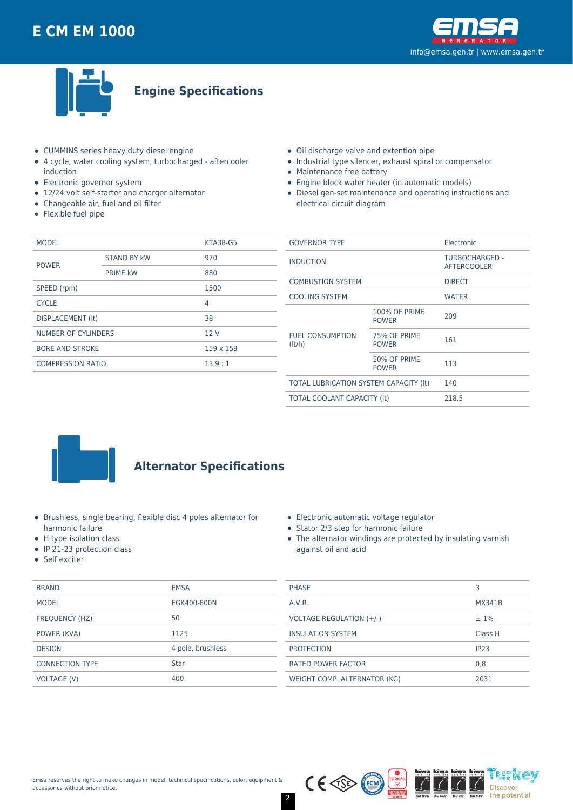



**Engine Specifications**

- CUMMINS series heavy duty diesel engine
- 4 cycle, water cooling system, turbocharged aftercooler induction
- Electronic governor system
- 12/24 volt self-starter and charger alternator
- Changeable air, fuel and oil filter
- Flexible fuel pipe
- Oil discharge valve and extention pipe
- Industrial type silencer, exhaust spiral or compensator
- Maintenance free battery
- Engine block water heater (in automatic models)
- Diesel gen-set maintenance and operating instructions and electrical circuit diagram

| <b>MODEL</b>           |                                               |  |
|------------------------|-----------------------------------------------|--|
| <b>STAND BY kW</b>     | 970                                           |  |
| <b>PRIME kW</b>        | 880                                           |  |
| SPEED (rpm)<br>1500    |                                               |  |
|                        | 4                                             |  |
|                        | 38                                            |  |
| NUMBER OF CYLINDERS    |                                               |  |
| <b>BORE AND STROKE</b> |                                               |  |
|                        | 13.9:1                                        |  |
|                        | DISPLACEMENT (It)<br><b>COMPRESSION RATIO</b> |  |

| <b>GOVERNOR TYPE</b>                   |                                      | Electronic                           |  |
|----------------------------------------|--------------------------------------|--------------------------------------|--|
| <b>INDUCTION</b>                       |                                      | TURBOCHARGED -<br><b>AFTERCOOLER</b> |  |
| <b>COMBUSTION SYSTEM</b>               |                                      | <b>DIRECT</b>                        |  |
| <b>COOLING SYSTEM</b>                  |                                      | <b>WATER</b>                         |  |
| <b>FUEL CONSUMPTION</b><br>(lt/h)      | <b>100% OF PRIME</b><br><b>POWER</b> | 209                                  |  |
|                                        | 75% OF PRIME<br><b>POWER</b>         | 161                                  |  |
|                                        | 50% OF PRIME<br><b>POWER</b>         | 113                                  |  |
| TOTAL LUBRICATION SYSTEM CAPACITY (It) |                                      | 140                                  |  |
| <b>TOTAL COOLANT CAPACITY (It)</b>     |                                      | 218,5                                |  |
|                                        |                                      |                                      |  |



### **Alternator Specifications**

- Brushless, single bearing, flexible disc 4 poles alternator for harmonic failure
- H type isolation class
- $\bullet$  IP 21-23 protection class
- Self exciter

| <b>BRAND</b>           | <b>EMSA</b>       |
|------------------------|-------------------|
| <b>MODEL</b>           | EGK400-800N       |
| <b>FREQUENCY (HZ)</b>  | 50                |
| POWER (KVA)            | 1125              |
| <b>DESIGN</b>          | 4 pole, brushless |
| <b>CONNECTION TYPE</b> | <b>Star</b>       |
| <b>VOLTAGE (V)</b>     | 400               |

|  | Electronic automatic voltage regulator |  |
|--|----------------------------------------|--|
|  |                                        |  |

- Stator 2/3 step for harmonic failure
- The alternator windings are protected by insulating varnish against oil and acid

| <b>PHASE</b>                 | 3                |
|------------------------------|------------------|
| A.V.R.                       | MX341B           |
| VOLTAGE REGULATION (+/-)     | $±1\%$           |
| <b>INSULATION SYSTEM</b>     | Class H          |
| <b>PROTECTION</b>            | IP <sub>23</sub> |
| <b>RATED POWER FACTOR</b>    | 0.8              |
| WEIGHT COMP. ALTERNATOR (KG) | 2031             |

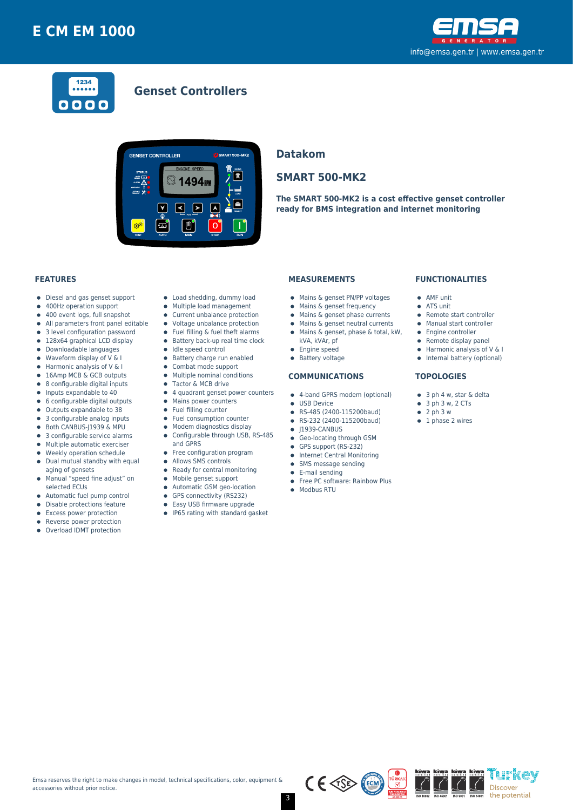



### **Genset Controllers**



### **Datakom**

### **SMART 500-MK2**

**The SMART 500-MK2 is a cost effective genset controller ready for BMS integration and internet monitoring**

#### **FEATURES**

- Diesel and gas genset support  $\bullet$
- 400Hz operation support  $\bullet$
- $\bullet$ 400 event logs, full snapshot
- All parameters front panel editable  $\bullet$
- 3 level configuration password
- 128x64 graphical LCD display  $\bullet$
- Downloadable languages
- $\bullet$ Waveform display of V & I  $\bullet$
- Harmonic analysis of V & I 16Amp MCB & GCB outputs
- 8 configurable digital inputs  $\bullet$
- $\bullet$ Inputs expandable to 40
- $\bullet$ 6 configurable digital outputs
- Outputs expandable to 38  $\bullet$
- 3 configurable analog inputs
- Both CANBUS-J1939 & MPU  $\bullet$
- 3 configurable service alarms  $\bullet$
- $\bullet$ Multiple automatic exerciser
- Weekly operation schedule  $\blacksquare$
- $\bullet$ Dual mutual standby with equal aging of gensets
- Manual "speed fine adjust" on  $\bullet$ selected ECUs
- 
- Automatic fuel pump control  $\bullet$
- $\bullet$ Disable protections feature
- Excess power protection
- Reverse power protection
- Overload IDMT protection
- Load shedding, dummy load
- Multiple load management  $\bullet$
- Current unbalance protection
- Voltage unbalance protection
- $\bullet$ Fuel filling & fuel theft alarms
- $\bullet$  Battery back-up real time clock
- Idle speed control
- **•** Battery charge run enabled
- $\bullet$ Combat mode support
- $\bullet$ Multiple nominal conditions
- Tactor & MCB drive
- 4 quadrant genset power counters
- Mains power counters
- Fuel filling counter
- $\bullet$ Fuel consumption counter  $\bullet$
- Modem diagnostics display Configurable through USB, RS-485  $\bullet$
- and GPRS
- Free configuration program
- $\bullet$ Allows SMS controls
- $\bullet$ Ready for central monitoring
- 
- Mobile genset support  $\bullet$
- Automatic GSM geo-location  $\bullet$
- GPS connectivity (RS232)
- $\bullet$ Easy USB firmware upgrade
- IP65 rating with standard gasket

#### **MEASUREMENTS**

- Mains & genset PN/PP voltages
- Mains & genset frequency
- $\bullet$  Mains & genset phase currents
- $\bullet$  Mains & genset neutral currents
- Mains & genset, phase & total, kW,
	- kVA, kVAr, pf
- **•** Engine speed
- **•** Battery voltage

#### **COMMUNICATIONS**

- 4-band GPRS modem (optional)
- **CONTRACTE OF LISR Device**
- RS-485 (2400-115200baud)
- RS-232 (2400-115200baud)
- $\bullet$  J1939-CANBUS
- **Geo-locating through GSM**
- GPS support (RS-232)
- **•** Internet Central Monitoring
- SMS message sending  $\bullet$
- E-mail sending
- Free PC software: Rainbow Plus
- $\bullet$  Modbus RTU

#### **FUNCTIONALITIES**

- AMF unit
- ATS unit
- Remote start controller
- Manual start controller
- Engine controller
- $\bullet$  Remote display panel
- $\bullet$  Harmonic analysis of V & I
- Internal battery (optional)

#### **TOPOLOGIES**

- 3 ph 4 w, star & delta
- $\bullet$  3 ph 3 w, 2 CTs
- $\bullet$  2 ph 3 w
- $\bullet$  1 phase 2 wires



'i h'kev

Discover the potential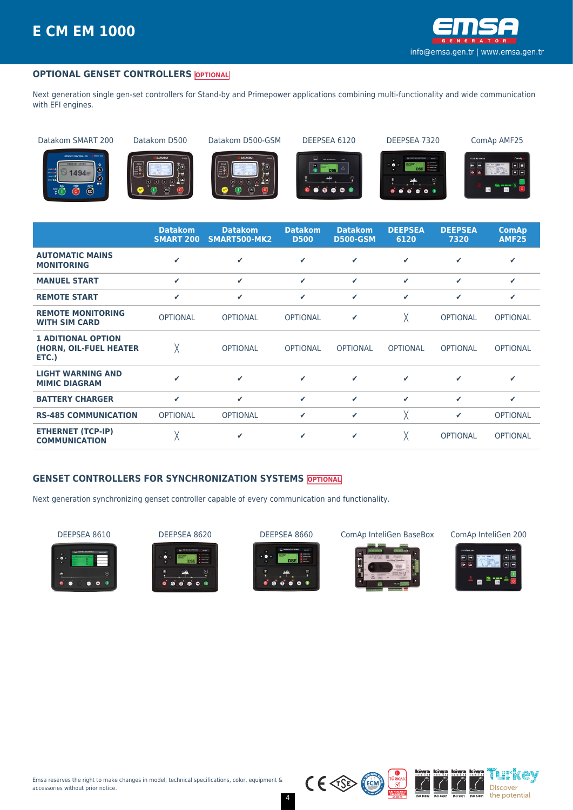

#### **OPTIONAL GENSET CONTROLLERS OPTIONAL**

Next generation single gen-set controllers for Stand-by and Primepower applications combining multi-functionality and wide communication with EFI engines.

Datakom SMART 200 Datakom D500 Datakom D500-GSM DEEPSEA 6120 DEEPSEA 7320 ComAp AMF25



















|                                                              | <b>Datakom</b><br><b>SMART 200</b> | <b>Datakom</b><br>SMART500-MK2 | <b>Datakom</b><br><b>D500</b> | <b>Datakom</b><br><b>D500-GSM</b> | <b>DEEPSEA</b><br>6120 | <b>DEEPSEA</b><br>7320 | <b>ComAp</b><br><b>AMF25</b> |
|--------------------------------------------------------------|------------------------------------|--------------------------------|-------------------------------|-----------------------------------|------------------------|------------------------|------------------------------|
| <b>AUTOMATIC MAINS</b><br><b>MONITORING</b>                  | J                                  | ✓                              | ✓                             | ✔                                 | ✔                      | ✓                      | ✓                            |
| <b>MANUEL START</b>                                          | $\checkmark$                       | $\checkmark$                   | ✓                             | ✓                                 | ✓                      | ✔                      | ✔                            |
| <b>REMOTE START</b>                                          | ✓                                  | $\checkmark$                   | ✓                             | ✓                                 | ✓                      | ✓                      | ✔                            |
| <b>REMOTE MONITORING</b><br><b>WITH SIM CARD</b>             | <b>OPTIONAL</b>                    | <b>OPTIONAL</b>                | <b>OPTIONAL</b>               | ✔                                 | Χ                      | <b>OPTIONAL</b>        | <b>OPTIONAL</b>              |
| <b>1 ADITIONAL OPTION</b><br>(HORN, OIL-FUEL HEATER<br>ETC.) | χ                                  | <b>OPTIONAL</b>                | <b>OPTIONAL</b>               | <b>OPTIONAL</b>                   | <b>OPTIONAL</b>        | <b>OPTIONAL</b>        | <b>OPTIONAL</b>              |
| <b>LIGHT WARNING AND</b><br><b>MIMIC DIAGRAM</b>             | ✔                                  | ✓                              | ✓                             | ✔                                 | ✓                      | ✓                      | ✓                            |
| <b>BATTERY CHARGER</b>                                       | ✓                                  | $\checkmark$                   | ✔                             | ✓                                 | ✓                      | ✔                      | ✔                            |
| <b>RS-485 COMMUNICATION</b>                                  | <b>OPTIONAL</b>                    | <b>OPTIONAL</b>                | ✓                             | ✓                                 | χ                      | ✔                      | <b>OPTIONAL</b>              |
| <b>ETHERNET (TCP-IP)</b><br><b>COMMUNICATION</b>             | χ                                  | ✔                              | ✓                             | ✓                                 | Χ                      | <b>OPTIONAL</b>        | <b>OPTIONAL</b>              |

#### **GENSET CONTROLLERS FOR SYNCHRONIZATION SYSTEMS OPTIONAL**

Next generation synchronizing genset controller capable of every communication and functionality.









DEEPSEA 8610 DEEPSEA 8620 DEEPSEA 8660 ComAp InteliGen BaseBox ComAp InteliGen 200







 $C \in \text{CSP}$